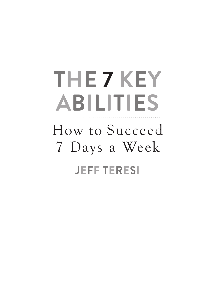# **THE 7 KEY ABILITIES**

## How to Succeed 7 Days a Week **JEFF TERESI**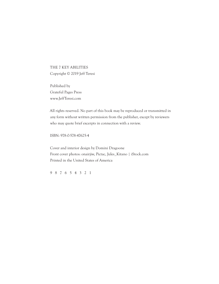THE 7 KEY ABILITIES Copyright © 2019 Jeff Teresi

Published by Grateful Pages Press www.JeffTeresi.com

All rights reserved. No part of this book may be reproduced or transmitted in any form without written permission from the publisher, except by reviewers who may quote brief excerpts in connection with a review.

ISBN: 978-0-578-47625-4

Cover and interior design by Domini Dragoone Front cover photos: onairjiw, Pictac, Jules\_Kitano | iStock.com Printed in the United States of America

9 8 7 6 5 4 3 2 1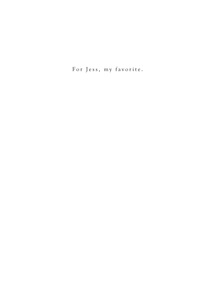For Jess, my favorite.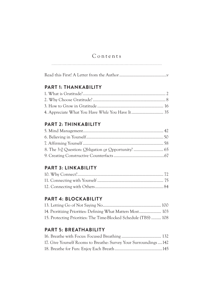## Contents

### **PART 1: THANKABILITY**

## **PART 2: THINKABILITY**

## **PART 3: LINKABILITY**

## **PART 4: BLOCKABILITY**

| 15. Protecting Priorities: The Time-Blocked Schedule (TBS)  108 |  |
|-----------------------------------------------------------------|--|

## **PART 5: BREATHABILITY**

| 17. Give Yourself Rooms to Breathe: Survey Your Surroundings  142 |  |
|-------------------------------------------------------------------|--|
|                                                                   |  |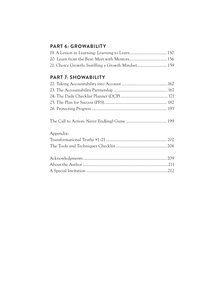## **PART 6: GROWABILITY**

| 21. Choice Growth: Instilling a Growth Mindset 159 |  |
|----------------------------------------------------|--|

## **PART 7: SHOWABILITY**

| Appendix: |  |
|-----------|--|
|           |  |
|           |  |
|           |  |
|           |  |
|           |  |
|           |  |
|           |  |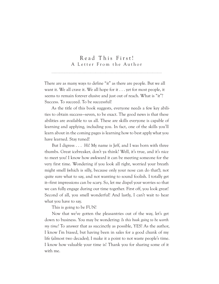### Read This First! A Letter From the Author

There are as many ways to define "it" as there are people. But we all want it. We all crave it. We all hope for it . . . yet for most people, it seems to remain forever elusive and just out of reach. What is "it"? Success. To succeed. To be successful!

As the title of this book suggests, everyone needs a few key abilities to obtain success—seven, to be exact. The good news is that these abilities are available to us all. These are skills everyone is capable of learning and applying, including you. In fact, one of the skills you'll learn about in the coming pages is learning how to best apply what you have learned. Stay tuned!

But I digress . . . Hi! My name is Jeff, and I was born with three thumbs. Great icebreaker, don't ya think? Well, it's true, and it's nice to meet you! I know how awkward it can be meeting someone for the very first time. Wondering if you look all right, worried your breath might smell (which is silly, because only your nose can do that!), not quite sure what to say, and not wanting to sound foolish. I totally get it—first impressions can be scary. So, let me dispel your worries so that we can fully engage during our time together. First off, you look great! Second of all, you smell wonderful! And lastly, I can't wait to hear what you have to say.

This is going to be FUN!

Now that we've gotten the pleasantries out of the way, let's get down to business. You may be wondering: *Is this book going to be worth my time?* To answer that as succinctly as possible, YES! As the author, I know I'm biased, but having been in sales for a good chunk of my life (almost two decades), I make it a point to not waste people's time. I know how valuable your time is! Thank you for sharing some of it with me.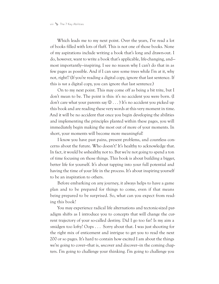Which leads me to my next point. Over the years, I've read a lot of books filled with lots of fluff. This is not one of those books. None of my aspirations include writing a book that's long and drawn-out. I do, however, want to write a book that's applicable, life-changing, and most importantly—inspiring. I see no reason why I can't do that in as few pages as possible. And if I can save some trees while I'm at it, why not, right!? (If you're reading a digital copy, ignore that last sentence. If this is *not* a digital copy, you can ignore *that* last sentence.)

On to my next point. This may come off as being a bit trite, but I don't mean to be. The point is this: it's no accident you were born. (I don't care what your parents say  $\mathcal{D} \dots$  It's no accident you picked up this book and are reading these very words at this very moment in time. And it will be no accident that once you begin developing the abilities and implementing the principles planted within these pages, you will immediately begin making the most out of more of your moments. In short, your moments will become more meaningful!

I know you have past pains, present problems, and countless concerns about the future. Who doesn't? It's healthy to acknowledge that. In fact, it would be *un*healthy not to. But we're not going to spend a ton of time focusing on those things. This book is about building a bigger, better life for yourself. It's about tapping into your full potential and having the time of your life in the process. It's about inspiring yourself to be an inspiration to others.

Before embarking on any journey, it always helps to have a game plan and to be prepared for things to come, even if that means being prepared to be surprised. So, what can you expect from reading this book?

You may experience radical life alternations and tectonic-sized paradigm shifts as I introduce you to concepts that will change the current trajectory of your so-called destiny. Did I go too far? Is my aim a smidgen too lofty? Oops . . . Sorry about that. I was just shooting for the right mix of enticement and intrigue to get you to read the next 200 or so pages. It's hard to contain how excited I am about the things we're going to cover*—*that is, *un*cover and *dis*cover*—*in the coming chapters. I'm going to challenge your thinking. I'm going to challenge you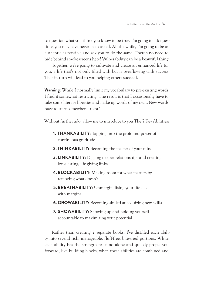to question what you think you know to be true. I'm going to ask questions you may have never been asked. All the while, I'm going to be as authentic as possible and ask you to do the same. There's no need to hide behind smokescreens here! Vulnerability can be a beautiful thing.

Together, we're going to cultivate and create an enhanced life for you, a life that's not only filled with but is overflowing with success. That in turn will lead to you helping others succeed.

**Warning:** While I normally limit my vocabulary to pre-existing words, I find it somewhat restricting. The result is that I occasionally have to take some literary liberties and make up words of my own. New words have to start somewhere, right?

Without further ado, allow me to introduce to you The 7 Key Abilities:

- **1. THANKABILITY:** Tapping into the profound power of continuous gratitude
- **2. THINKABILITY:** Becoming the master of your mind
- **3. LINKABILITY:** Digging deeper relationships and creating long-lasting, life-giving links
- **4. BLOCKABILITY:** Making room for what matters by removing what doesn't
- **5. BREATHABILITY:** Unmarginalizing your life . . . with margins
- **6. GROWABILITY:** Becoming skilled at acquiring new skills
- **7. SHOWABILITY:** Showing up and holding yourself accountable to maximizing your potential

Rather than creating 7 separate books, I've distilled each ability into several rich, manageable, fluff-free, bite-sized portions. While each ability has the strength to stand alone and quickly propel you forward, like building blocks, when these abilities are combined and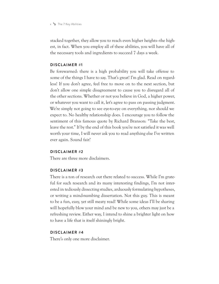#### x  $\sim$  The 7 Key Abilities

stacked together, they allow you to reach even higher heights*—*the highest, in fact. When you employ all of these abilities, you will have all of the necessary tools and ingredients to succeed 7 days a week.

#### **DISCL AIMER #1**

Be forewarned: there is a high probability you will take offense to some of the things I have to say. That's great! I'm glad. Read on regardless! If you don't agree, feel free to move on to the next section, but don't allow one simple disagreement to cause you to disregard all of the other sections. Whether or not you believe in God, a higher power, or whatever you want to call it, let's agree to pass on passing judgment. We're simply not going to see eye-to-eye on everything, nor should we expect to. No healthy relationship does. I encourage you to follow the sentiment of this famous quote by Richard Branson: "Take the best, leave the rest." If by the end of this book you're not satisfied it was well worth your time, I will never ask you to read anything else I've written ever again. Sound fair?

#### **DISCLAIMER #2**

There are three more disclaimers.

#### **DISCLAIMER #3**

There is a ton of research out there related to success. While I'm grateful for such research and its many interesting findings, I'm not interested in tediously dissecting studies, arduously formulating hypotheses, or writing a mind-numbing dissertation. Not this guy. This is meant to be a fun, easy, yet still meaty read! While some ideas I'll be sharing will hopefully blow your mind and be new to you, others may just be a refreshing review. Either way, I intend to shine a brighter light on how to have a life that is itself shiningly bright.

#### **DISCLAIMER #4**

There's only one more disclaimer.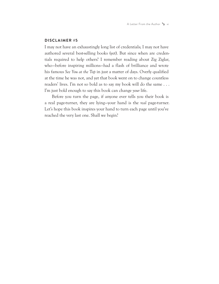A Letter From the Author  $\rightarrow$  xi

#### **DISCLAIMER #5**

I may not have an exhaustingly long list of credentials; I may not have authored several best-selling books (yet). But since when are credentials required to help others? I remember reading about Zig Ziglar, who—before inspiring millions—had a flash of brilliance and wrote his famous *See You at the Top* in just a matter of days. Overly qualified at the time he was not, and yet that book went on to change countless readers' lives. I'm not so bold as to say my book will do the same . . . I'm just bold enough to say this book can change *your* life.

Before you turn the page, if anyone ever tells you their book is a real page-turner, they are lying—your hand is the *real* page-turner. Let's hope this book inspires your hand to turn each page until you've reached the very last one. Shall we begin?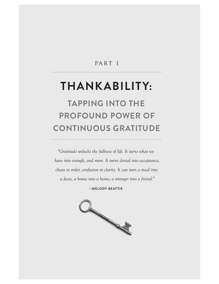## PART<sub>1</sub>

## THANKABILITY: **TAPPING INTO THE**

## **PROFOUND POWER OF CONTINUOUS GRATITUDE**

*"Gratitude unlocks the fullness of life. It turns what we have into enough, and more. It turns denial into acceptance, chaos to order, confusion to clarity. It can turn a meal into a feast, a house into a home, a stranger into a friend."*

**—MELODY BEATTIE**

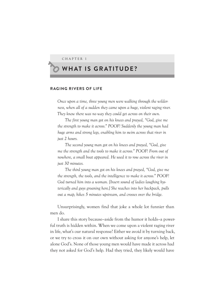CHAPTER 1

## ̾ **WHAT IS GRATITUDE?**

#### **RAGING RIVERS OF LIFE**

*Once upon a time, three young men were walking through the wilderness, when all of a sudden they came upon a huge, violent raging river. They knew there was no way they could get across on their own.*

*The first young man got on his knees and prayed, "God, give me the strength to make it across." POOF! Suddenly the young man had huge arms and strong legs, enabling him to swim across that river in just 2 hours.* 

*The second young man got on his knees and prayed, "God, give me the strength and the tools to make it across." POOF! From out of nowhere, a small boat appeared. He used it to row across the river in just 30 minutes.*

*The third young man got on his knees and prayed, "God, give me the strength, the tools, and the intelligence to make it across." POOF! God turned him into a woman. [Insert sound of ladies laughing hysterically and guys groaning here.] She reaches into her backpack, pulls out a map, hikes 5 minutes upstream, and crosses over the bridge.* 

Unsurprisingly, women find that joke a whole lot funnier than men do.

I share this story because*—*aside from the humor it holds*—*a powerful truth is hidden within. When we come upon a violent raging river in life, what's our natural response? Either we avoid it by turning back, or we try to cross it on our own without asking for anyone's help, let alone God's. None of those young men would have made it across had they not asked for God's help. Had they tried, they likely would have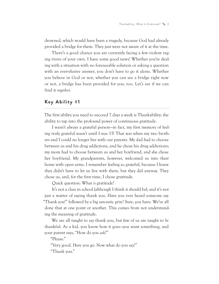drowned, which would have been a tragedy, because God had already provided a bridge for them. They just were not aware of it at the time.

There's a good chance you are currently facing a few violent raging rivers of your own. I have some good news! Whether you're dealing with a situation with no foreseeable solution or asking a question with an ever-elusive answer, you don't have to go it alone. Whether you believe in God or not, whether you can see a bridge right now or not, a bridge has been provided for you, too. Let's see if we can find it *together*.

#### **Key Ability #1**

The first ability you need to succeed 7 days a week is Thankability: the ability to tap into the profound power of continuous gratitude.

I wasn't always a grateful person—in fact, my first memory of feeling truly grateful wasn't until I was 15! That was when my two brothers and I could no longer live with our parents. My dad had to choose between us and his drug addictions, and he chose his drug addictions; my mom had to choose between us and her boyfriend, and she chose her boyfriend. My grandparents, however, welcomed us into their home with open arms. I remember feeling so grateful, because I knew they didn't have to let us live with them, but they did anyway. They chose us, and, for the first time, I chose gratitude.

Quick question: What *is* gratitude?

It's not a class in school (although I think it should be), and it's not just a matter of saying thank you. Have you ever heard someone say "Thank you!" followed by a big sarcastic grin? Sure, you have. We've all done that at one point or another. This comes from not understanding the meaning of gratitude.

We are all taught to *say* thank you, but few of us are taught to *be* thankful. As a kid, you know how it goes—you want something, and your parent says, "How do you *ask*?"

"Please."

"Very good. Here you go. Now what do you *say*?"

"Thank you."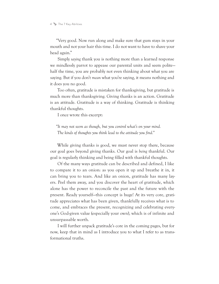"Very good. Now run along and make sure that gum stays in your mouth and not your hair this time. I do not want to have to shave your head again."

Simply *saying* thank you is nothing more than a learned response we mindlessly parrot to appease our parental units and seem polite half the time, you are probably not even thinking about what you are saying. But if you don't *mean* what you're saying, it means nothing and it does you no good.

Too often, gratitude is mistaken for thanksgiving, but gratitude is much more than thanksgiving. Giving thanks is an action. Gratitude is an attitude. Gratitude is a way of thinking. Gratitude is thinking thankful thoughts.

I once wrote this excerpt:

*"It may not seem as though, but you control what's on your mind. The kinds of thoughts you think lead to the attitude you find."*

While giving thanks is good, we must never stop there, because our goal goes beyond giving thanks. Our goal is *being* thankful. Our goal is regularly thinking and being filled with thankful thoughts.

Of the many ways gratitude can be described and defined, I like to compare it to an onion: as you open it up and breathe it in, it can bring you to tears. And like an onion, gratitude has many layers. Peel them away, and you discover the heart of gratitude, which alone has the power to reconcile the past and the future with the present. Ready yourself—this concept is huge! At its very core, gratitude appreciates what has been given, thankfully receives what is to come, and embraces the present, recognizing and celebrating everyone's God-given value (especially your own), which is of infinite and unsurpassable worth.

I will further unpack gratitude's core in the coming pages, but for now, keep that in mind as I introduce you to what I refer to as transformational truths.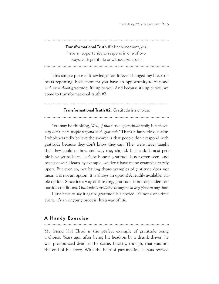Thankability: What Is Gratitude?  $\rightarrow$  5

**Transformational Truth #1:** Each moment, you have an opportunity to respond in one of two ways: with gratitude or without gratitude.

This simple piece of knowledge has forever changed my life, so it bears repeating. Each moment you have an opportunity to respond *with* or *without* gratitude. It's up to you. And because it's up to you, we come to transformational truth #2.

**Transformational Truth #2:** Gratitude is a choice.

You may be thinking, *Well, if that's true—if gratitude really* is *a choice why don't more people respond with gratitude?* That's a fantastic question. I wholeheartedly believe the answer is that people don't respond with gratitude because they don't know they can. They were never taught that they could or how and why they should. It is a skill most people have yet to learn. Let's be honest—gratitude is not often seen, and because we all learn by example, we don't have many examples to rely upon. But even so, not having those examples of gratitude does not mean it is not an option. It is always an option! A readily available, viable option. Since it's a way of thinking, gratitude is not dependent on outside conditions. *Gratitude is available to anyone at any place at any time!*

I just have to say it again: gratitude is a choice. It's not a one-time event, it's an ongoing process. It's a way of life.

## **A Handy Exercise**

My friend Hal Elrod is the perfect example of gratitude being a choice. Years ago, after being hit head-on by a drunk driver, he was pronounced dead at the scene. Luckily, though, that was not the end of his story. With the help of paramedics, he was revived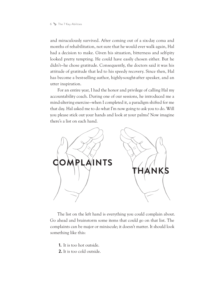and miraculously survived. After coming out of a six-day coma and months of rehabilitation, not sure that he would ever walk again, Hal had a decision to make. Given his situation, bitterness and self-pity looked pretty tempting. He could have easily chosen either. But he didn't—he chose gratitude. Consequently, the doctors said it was his attitude of gratitude that led to his speedy recovery. Since then, Hal has become a best-selling author, highly-sought-after speaker, and an utter inspiration.

For an entire year, I had the honor and privilege of calling Hal my accountability coach. During one of our sessions, he introduced me a mind-altering exercise—when I completed it, a paradigm shifted for me that day. Hal asked me to do what I'm now going to ask you to do. Will you please stick out your hands and look at your palms? Now imagine there's a list on each hand.



The list on the left hand is everything you could complain about. Go ahead and brainstorm some items that could go on that list. The complaints can be major or miniscule; it doesn't matter. It should look something like this:

- **1.** It is too hot outside.
- **2.** It is too cold outside.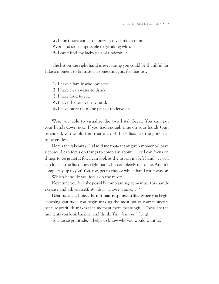**3.** I don't have enough money in my bank account.

**4.** So-and-so is impossible to get along with.

**5.** I can't find my lucky pair of underwear.

The list on the right hand is everything you could be thankful for. Take a moment to brainstorm some thoughts for that list.

**1.** I have a family who loves me.

**2.** I have clean water to drink.

**3.** I have food to eat.

**4.** I have shelter over my head.

**5.** I have more than one pair of underwear.

Were you able to visualize the two lists? Great. You can put your hands down now. If you had enough time on your hands (pun intended), you would find that each of those lists has the potential to be endless.

Here's the takeaway: Hal told me that*—*at any given moment*—*I have a choice. I can focus on things to complain about . . . or I can focus on things to be grateful for. I can look at the list on my left hand . . . or I can look at the list on my right hand. It's completely up to me. And it's completely up to you! You, too, get to choose which hand you focus on.

Which hand do you focus on the most?

Next time you feel like possibly complaining, remember this handy exercise and ask yourself, *Which hand am I focusing on?* 

**Gratitude is a choice, the ultimate response to life.** When you begin choosing gratitude, you begin making the most out of your moments, because gratitude makes each moment more meaningful. Those are the moments you look back on and think: *Yes, life is worth living!*

To choose gratitude, it helps to know why you would want to.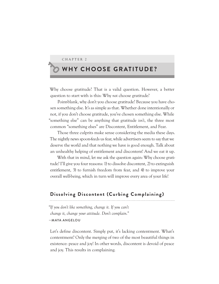#### CHAPTER 2

## **WHY CHOOSE GRATITUDE?**

Why choose gratitude? That is a valid question. However, a better question to start with is this: Why *not* choose gratitude?

Point-blank, why don't you choose gratitude? Because you have chosen something else. It's as simple as that. Whether done intentionally or not, if you don't choose gratitude, you've chosen something else. While "something else" can be anything that gratitude *isn't*, the three most common "something elses" are Discontent, Entitlement, and Fear.

Those three culprits make sense considering the media these days. The nightly news spoon-feeds us fear, while advertisers seem to say that we deserve the world and that nothing we have is good enough. Talk about an unhealthy helping of entitlement and discontent! And we eat it up.

With that in mind, let me ask the question again: Why choose gratitude? I'll give you four reasons: 1) to dissolve discontent, 2) to extinguish entitlement, 3) to furnish freedom from fear, and 4) to improve your overall well-being, which in turn will improve every area of your life!

#### **Dissolving Discontent (Curbing Complaining)**

*"If you don't like something, change it. If you can't change it, change your attitude. Don't complain."* —MAYA ANGELOU

Let's define discontent. Simply put, it's lacking contentment. What's contentment? Only the merging of two of the most beautiful things in existence: peace and joy! In other words, discontent is devoid of peace and joy. This results in complaining.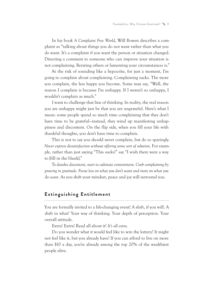In his book *A Complaint Free World*, Will Bowen describes a complaint as "talking about things you do not want rather than what you do want. It's a complaint if you want the person or situation changed. Directing a comment to someone who can improve your situation is not complaining. Berating others or lamenting your circumstances is."

At the risk of sounding like a hypocrite, for just a moment, I'm going to complain about complaining. Complaining sucks. The more you complain, the less happy you become. Some may say, "Well, the reason I complain is because I'm unhappy. If I weren't so unhappy, I wouldn't complain as much."

I want to challenge that line of thinking. In reality, the real reason you are unhappy might just be that you are ungrateful. Here's what I mean: some people spend so much time complaining that they don't have time to be grateful—instead, they wind up manifesting unhappiness and discontent. On the flip side, when you fill your life with thankful thoughts, you don't have time to complain.

This is not to say you should never complain, but do so sparingly. *Never express dissatisfaction without offering some sort of solution*. For example, rather than just saying "This sucks!" say "I wish there were a way to [fill in the blank]."

*To dissolve discontent, start to cultivate contentment. Curb complaining by growing in gratitude. Focus less on what you don't want and more on what you*  do *want.* As you shift your mindset, peace and joy will surround you.

## **Extinguishing Entitlement**

You are formally invited to a life-changing event! A shift, if you will. A shift in what? Your way of thinking. Your depth of perception. Your overall attitude.

Extra! Extra! Read all about it! *It's all extra*.

Do you wonder what it would feel like to win the lottery? It might not feel like it, but you already have! If you can afford to live on more than \$10 a day, you're already among the top 20% of the wealthiest people alive.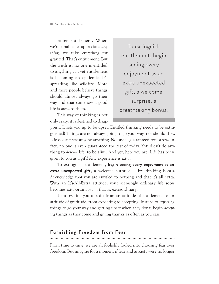Enter entitlement. When we're unable to appreciate *anything*, we take *everything* for granted. That's entitlement. But the truth is, no one is entitled to anything . . . yet entitlement is becoming an epidemic. It's spreading like wildfire. More and more people believe things should almost always go their way and that somehow a good life is *owed* to them.

This way of thinking is not only crazy, it is destined to disap-

To extinguish entitlement, begin seeing every enjoyment as an extra unexpected gift, a welcome surprise, a breathtaking bonus.

point. It sets you up to be upset. Entitled thinking needs to be extinguished! Things are not always going to go your way, nor should they. Life doesn't *owe* anyone anything. No one is guaranteed tomorrow. In fact, no one is even guaranteed the rest of today. You didn't do anything to *deserve* life, to be alive. And yet, here you are. Life has been given to you as a gift! Any experience is *extra*.

To extinguish entitlement, **begin seeing every enjoyment as an extra unexpected gift,** a welcome surprise, a breathtaking bonus. Acknowledge that you are entitled to nothing and that it's all extra. With an It's-All-Extra attitude, your seemingly ordinary life soon becomes *extra*-ordinary . . . that is, extraordinary!

I am inviting you to shift from an attitude of entitlement to an attitude of gratitude, from expecting to accepting. Instead of *expecting* things to go your way and getting upset when they don't, begin *accepting* things as they come and giving thanks as often as you can.

### **Furnishing Freedom from Fear**

From time to time, we are all foolishly fooled into choosing fear over freedom. But imagine for a moment if fear and anxiety were no longer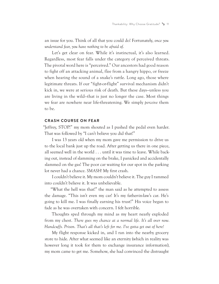an issue for you. Think of all that you could do! Fortunately, *once you understand fear, you have nothing to be afraid of*.

Let's get clear on fear. While it's instinctual, it's also learned. Regardless, most fear falls under the category of perceived threats. The pivotal word here is "perceived." Our ancestors had good reason to fight off an attacking animal, flee from a hangry hippo, or freeze when hearing the sound of a snake's rattle. Long ago, those where legitimate threats. If our "fight-or-flight" survival mechanism didn't kick in, we were at serious risk of death. But these days*—*unless you are living in the wild*—*that is just no longer the case. Most things we fear are nowhere near life-threatening. We simply *perceive* them to be.

#### **CRASH COURSE ON FEAR**

"Jeffrey, STOP!" my mom shouted as I pushed the pedal even harder. That was followed by "I can't believe you did that!"

I was 13 years old when my mom gave me permission to drive us to the local bank just up the road. After getting us there in one piece, all seemed well in the world . . . until it was time to leave. While backing out, instead of slamming on the brake, I panicked and accidentally slammed on the gas! The poor car waiting for our spot in the parking lot never had a chance. *SMASH!* My first crash.

I couldn't believe it. My mom couldn't believe it. The guy I rammed into couldn't believe it. It was unbelievable.

"What the hell was that!" the man said as he attempted to assess the damage. "This isn't even my car! It's my father-in-law's car. He's going to kill me. I was finally earning his trust!" His voice began to fade as he was overtaken with concern. I felt horrible.

Thoughts sped through my mind as my heart nearly exploded from my chest. *There goes my chance at a normal life. It's all over now. Handcuffs. Prison. That's all that's left for me. I've gotta get out of here!* 

My flight response kicked in, and I ran into the nearby grocery store to hide. After what seemed like an eternity (which in reality was however long it took for them to exchange insurance information), my mom came to get me. Somehow, she had convinced the distraught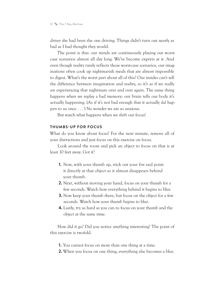driver she had been the one driving. Things didn't turn out nearly as bad as I had thought they would.

The point is this: our minds are continuously playing out worstcase scenarios almost all day long. We've become experts at it. And even though reality rarely reflects those worst-case scenarios, our imaginations often cook up nightmarish meals that are almost impossible to digest. What's the worst part about all of this? Our insides can't tell the difference between imagination and reality, so it's as if we really *are* experiencing that nightmare over and over again. The same thing happens when we replay a bad memory: our brain tells our body it's actually happening. (As if it's not bad enough that it actually *did* happen to us once . . . ) No wonder we are so anxious.

But watch what happens when we shift our focus!

#### **THUMBS-UP FOR FOCUS**

What do you know about focus? For the next minute, remove all of your distractions and just focus on this exercise on focus.

Look around the room and pick an object to focus on that is at least 10 feet away. Got it?

- **1.** Now, with your thumb up, stick out your fist and point it directly at that object so it almost disappears behind your thumb.
- **2.** Next, without moving your hand, focus on your thumb for a few seconds. Watch how everything behind it begins to blur.
- **3.** Now keep your thumb there, but focus on the object for a few seconds. Watch how your thumb begins to blur.
- **4.** Lastly, try as hard as you can to focus on your thumb and the object at the same time.

How did it go? Did you notice anything interesting? The point of this exercise is twofold.

- **1.** You cannot focus on more than one thing at a time.
- **2.** When you focus on one thing, everything else becomes a blur.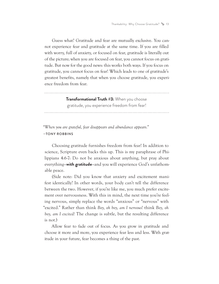Guess what? Gratitude and fear are mutually exclusive. You cannot experience fear and gratitude at the same time. If you are filled with worry, full of anxiety, or focused on fear, gratitude is literally out of the picture; when you are focused on fear, you cannot focus on gratitude. But now for the good news: this works both ways. If you focus on gratitude, you cannot focus on fear! Which leads to one of gratitude's greatest benefits, namely that when you choose gratitude, you experience freedom from fear.

**Transformational Truth #3:** When you choose

gratitude, you experience freedom from fear!

*"When you are grateful, fear disappears and abundance appears."* —TONY ROBBINS

Choosing gratitude furnishes freedom from fear! In addition to science, Scripture even backs this up. This is my paraphrase of Philippians 4:6-7: Do not be anxious about anything, but pray about everything*—***with gratitude***—*and you will experience God's unfathomable peace.

(Side note: Did you know that anxiety and excitement manifest identically? In other words, your body can't tell the difference between the two. However, if you're like me, you much prefer excitement over nervousness. With this in mind, the next time you're feeling nervous, simply replace the words "anxious" or "nervous" with "excited." Rather than think *Boy, oh boy, am I nervous*! think *Boy, oh boy, am I excited!* The change is subtle, but the resulting difference is not.)

Allow fear to fade out of focus. As you grow in gratitude and choose it more and more, you experience fear less and less. With gratitude in your future, fear becomes a thing of the past.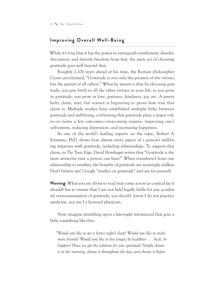## **Improving Overall Well-Being**

While it's true that it has the power to extinguish entitlement, dissolve discontent, and furnish freedom from fear, the mere act of choosing gratitude goes well beyond that.

Roughly 2,100 years ahead of his time, the Roman philosopher Cicero proclaimed, "Gratitude is not only the greatest of the virtues, but the parent of all others." What he meant is that by choosing gratitude, you give birth to all the other virtues in your life: as you grow in gratitude, you grow in love, patience, kindness, joy, etc. A pretty hefty claim, sure, but science is beginning to prove how true that claim is. Multiple studies have established multiple links between gratitude and well-being, confirming that gratitude plays a major role in—to name a few outcomes—overcoming trauma, improving one's self-esteem, reducing depression, and increasing happiness.

As one of the world's leading experts on the topic, Robert A. Emmons, PhD, shows how almost every aspect of a person's well-being improves with gratitude, including relationships. To support that claim, in *The Trust Edge*, David Horshager writes that "Gratitude is the most attractive trait a person can have!" When transferred from one relationship to another, the benefits of gratitude are seemingly endless. Don't believe me? Google "studies on gratitude" and see for yourself.

**Warning:** What you are about to read may come across as comical (as it should) but to ensure that I am not held legally liable for any accidental overconsumption of gratitude, you should know I do not practice medicine, nor am I a licensed physician.

Now, imagine stumbling upon a late-night infomercial that goes a little something like this:

*"Would you like to get a better night's sleep? Would you like to make more friends? Would you like to live longer, be healthier . . . heck, be happier? Have we got the solution for you: gratitude! Simply choose it in the morning, choose it throughout the day, and choose it before*